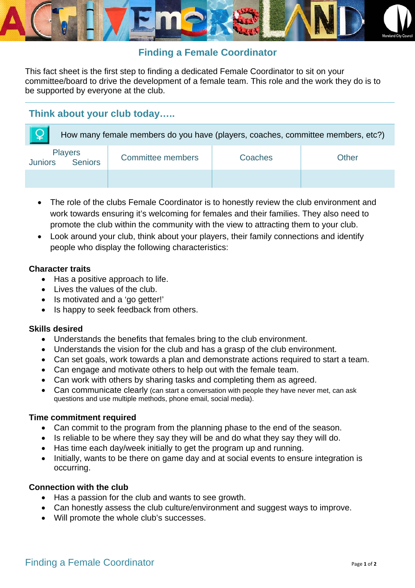

# **Finding a Female Coordinator**

This fact sheet is the first step to finding a dedicated Female Coordinator to sit on your committee/board to drive the development of a female team. This role and the work they do is to be supported by everyone at the club.

# **Think about your club today…..**

| How many female members do you have (players, coaches, committee members, etc?) |                          |         |       |
|---------------------------------------------------------------------------------|--------------------------|---------|-------|
| <b>Players</b><br>Juniors Seniors                                               | <b>Committee members</b> | Coaches | Other |
|                                                                                 |                          |         |       |

- The role of the clubs Female Coordinator is to honestly review the club environment and work towards ensuring it's welcoming for females and their families. They also need to promote the club within the community with the view to attracting them to your club.
- Look around your club, think about your players, their family connections and identify people who display the following characteristics:

#### **Character traits**

- Has a positive approach to life.
- Lives the values of the club.
- Is motivated and a 'go getter!'
- Is happy to seek feedback from others.

## **Skills desired**

- Understands the benefits that females bring to the club environment.
- Understands the vision for the club and has a grasp of the club environment.
- Can set goals, work towards a plan and demonstrate actions required to start a team.
- Can engage and motivate others to help out with the female team.
- Can work with others by sharing tasks and completing them as agreed.
- Can communicate clearly (can start a conversation with people they have never met, can ask questions and use multiple methods, phone email, social media).

## **Time commitment required**

- Can commit to the program from the planning phase to the end of the season.
- Is reliable to be where they say they will be and do what they say they will do.
- Has time each day/week initially to get the program up and running.
- Initially, wants to be there on game day and at social events to ensure integration is occurring.

## **Connection with the club**

- Has a passion for the club and wants to see growth.
- Can honestly assess the club culture/environment and suggest ways to improve.
- Will promote the whole club's successes.